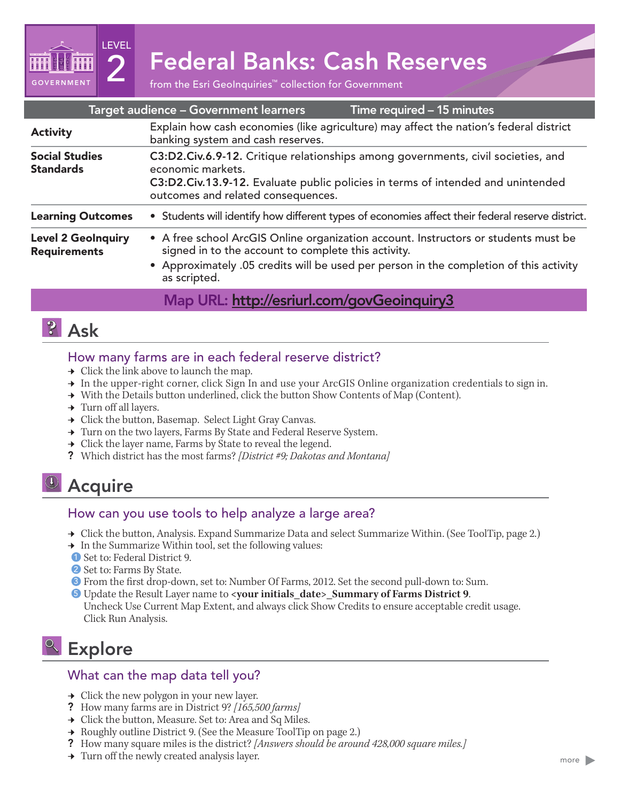2 Federal Banks: Cash Reserves

| Target audience - Government learners<br>Time required - 15 minutes |                                                                                                                                                                                                                                                      |
|---------------------------------------------------------------------|------------------------------------------------------------------------------------------------------------------------------------------------------------------------------------------------------------------------------------------------------|
| <b>Activity</b>                                                     | Explain how cash economies (like agriculture) may affect the nation's federal district<br>banking system and cash reserves.                                                                                                                          |
| <b>Social Studies</b><br><b>Standards</b>                           | C3:D2.Civ.6.9-12. Critique relationships among governments, civil societies, and<br>economic markets.<br>C3:D2.Civ.13.9-12. Evaluate public policies in terms of intended and unintended<br>outcomes and related consequences.                       |
| <b>Learning Outcomes</b>                                            | • Students will identify how different types of economies affect their federal reserve district.                                                                                                                                                     |
| <b>Level 2 GeoInquiry</b><br><b>Requirements</b>                    | • A free school ArcGIS Online organization account. Instructors or students must be<br>signed in to the account to complete this activity.<br>• Approximately .05 credits will be used per person in the completion of this activity<br>as scripted. |

## Map URL: http://esriurl.com/govGeoinquiry3

# **P** Ask

**GOVERNMENT** 

LEVEL

#### How many farms are in each federal reserve district?

- $\rightarrow$  Click the link above to launch the map.
- → In the upper-right corner, click Sign In and use your ArcGIS Online organization credentials to sign in.
- → With the Details button underlined, click the button Show Contents of Map (Content).
- $\rightarrow$  Turn off all layers.
- $\rightarrow$  Click the button, Basemap. Select Light Gray Canvas.
- → Turn on the two layers, Farms By State and Federal Reserve System.
- $\rightarrow$  Click the layer name, Farms by State to reveal the legend.
- ? Which district has the most farms? *[District #9; Dakotas and Montana]*

# <sup>4</sup> Acquire

### How can you use tools to help analyze a large area?

- → Click the button, Analysis. Expand Summarize Data and select Summarize Within. (See ToolTip, page 2.)
- → In the Summarize Within tool, set the following values:
- ? Set to: Federal District 9. 1
- 2 Set to: Farms By State.
- **3** From the first drop-down, set to: Number Of Farms, 2012. Set the second pull-down to: Sum.
- **5** Update the Result Layer name to <your initials\_date>\_Summary of Farms District 9. Uncheck Use Current Map Extent, and always click Show Credits to ensure acceptable credit usage. Click Run Analysis.

# <sup>Q</sup> Explore

### What can the map data tell you?

- $\rightarrow$  Click the new polygon in your new layer.
- ? How many farms are in District 9? *[165,500 farms]*
- → Click the button, Measure. Set to: Area and Sq Miles.
- **→** Roughly outline District 9. (See the Measure ToolTip on page 2.)
- ? How many square miles is the district? *[Answers should be around 428,000 square miles.]*
- $\rightarrow$  Turn off the newly created analysis layer.